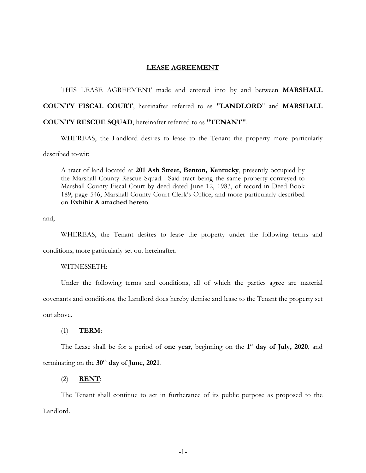## **LEASE AGREEMENT**

THIS LEASE AGREEMENT made and entered into by and between **MARSHALL COUNTY FISCAL COURT**, hereinafter referred to as **"LANDLORD**" and **MARSHALL COUNTY RESCUE SQUAD**, hereinafter referred to as **"TENANT"**.

WHEREAS, the Landlord desires to lease to the Tenant the property more particularly described to-wit:

A tract of land located at **201 Ash Street, Benton, Kentucky**, presently occupied by the Marshall County Rescue Squad. Said tract being the same property conveyed to Marshall County Fiscal Court by deed dated June 12, 1983, of record in Deed Book 189, page 546, Marshall County Court Clerk's Office, and more particularly described on **Exhibit A attached hereto**.

and,

WHEREAS, the Tenant desires to lease the property under the following terms and conditions, more particularly set out hereinafter.

## WITNESSETH:

Under the following terms and conditions, all of which the parties agree are material covenants and conditions, the Landlord does hereby demise and lease to the Tenant the property set

out above.

## (1) **TERM**:

The Lease shall be for a period of **one year**, beginning on the **1 st day of July, 2020**, and terminating on the **30th day of June, 2021**.

## (2) **RENT**:

The Tenant shall continue to act in furtherance of its public purpose as proposed to the Landlord.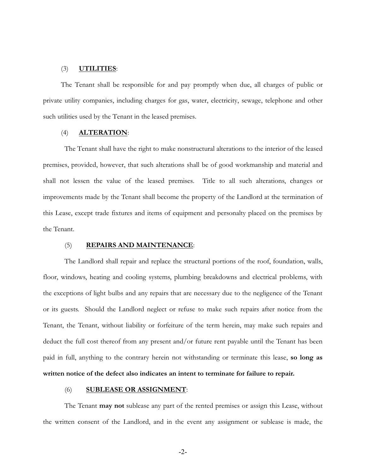## (3) **UTILITIES**:

The Tenant shall be responsible for and pay promptly when due, all charges of public or private utility companies, including charges for gas, water, electricity, sewage, telephone and other such utilities used by the Tenant in the leased premises.

## (4) **ALTERATION**:

The Tenant shall have the right to make nonstructural alterations to the interior of the leased premises, provided, however, that such alterations shall be of good workmanship and material and shall not lessen the value of the leased premises. Title to all such alterations, changes or improvements made by the Tenant shall become the property of the Landlord at the termination of this Lease, except trade fixtures and items of equipment and personalty placed on the premises by the Tenant.

### (5) **REPAIRS AND MAINTENANCE**:

The Landlord shall repair and replace the structural portions of the roof, foundation, walls, floor, windows, heating and cooling systems, plumbing breakdowns and electrical problems, with the exceptions of light bulbs and any repairs that are necessary due to the negligence of the Tenant or its guests. Should the Landlord neglect or refuse to make such repairs after notice from the Tenant, the Tenant, without liability or forfeiture of the term herein, may make such repairs and deduct the full cost thereof from any present and/or future rent payable until the Tenant has been paid in full, anything to the contrary herein not withstanding or terminate this lease, **so long as written notice of the defect also indicates an intent to terminate for failure to repair.**

#### (6) **SUBLEASE OR ASSIGNMENT**:

The Tenant **may not** sublease any part of the rented premises or assign this Lease, without the written consent of the Landlord, and in the event any assignment or sublease is made, the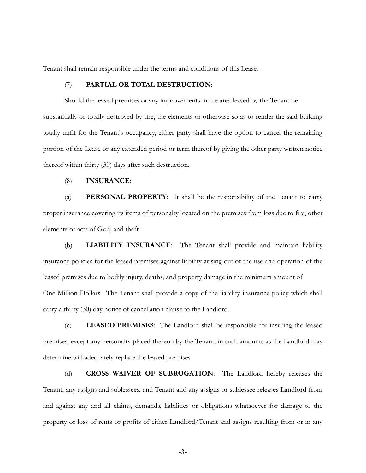Tenant shall remain responsible under the terms and conditions of this Lease.

## (7) **PARTIAL OR TOTAL DESTRUCTION**:

Should the leased premises or any improvements in the area leased by the Tenant be substantially or totally destroyed by fire, the elements or otherwise so as to render the said building totally unfit for the Tenant's occupancy, either party shall have the option to cancel the remaining portion of the Lease or any extended period or term thereof by giving the other party written notice thereof within thirty (30) days after such destruction.

## (8) **INSURANCE**:

(a) **PERSONAL PROPERTY**: It shall be the responsibility of the Tenant to carry proper insurance covering its items of personalty located on the premises from loss due to fire, other elements or acts of God, and theft.

(b) **LIABILITY INSURANCE**: The Tenant shall provide and maintain liability insurance policies for the leased premises against liability arising out of the use and operation of the leased premises due to bodily injury, deaths, and property damage in the minimum amount of One Million Dollars. The Tenant shall provide a copy of the liability insurance policy which shall carry a thirty (30) day notice of cancellation clause to the Landlord.

(c) **LEASED PREMISES**: The Landlord shall be responsible for insuring the leased premises, except any personalty placed thereon by the Tenant, in such amounts as the Landlord may determine will adequately replace the leased premises.

(d) **CROSS WAIVER OF SUBROGATION**: The Landlord hereby releases the Tenant, any assigns and sublessees, and Tenant and any assigns or sublessee releases Landlord from and against any and all claims, demands, liabilities or obligations whatsoever for damage to the property or loss of rents or profits of either Landlord/Tenant and assigns resulting from or in any

-3-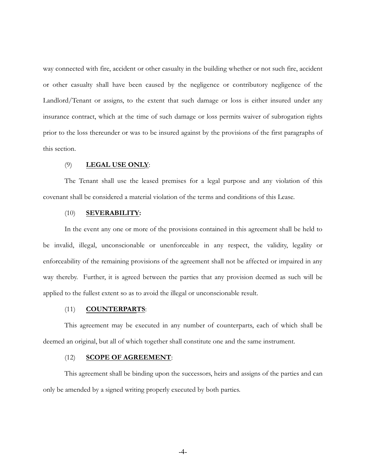way connected with fire, accident or other casualty in the building whether or not such fire, accident or other casualty shall have been caused by the negligence or contributory negligence of the Landlord/Tenant or assigns, to the extent that such damage or loss is either insured under any insurance contract, which at the time of such damage or loss permits waiver of subrogation rights prior to the loss thereunder or was to be insured against by the provisions of the first paragraphs of this section.

## (9) **LEGAL USE ONLY**:

The Tenant shall use the leased premises for a legal purpose and any violation of this covenant shall be considered a material violation of the terms and conditions of this Lease.

#### (10) **SEVERABILITY:**

In the event any one or more of the provisions contained in this agreement shall be held to be invalid, illegal, unconscionable or unenforceable in any respect, the validity, legality or enforceability of the remaining provisions of the agreement shall not be affected or impaired in any way thereby. Further, it is agreed between the parties that any provision deemed as such will be applied to the fullest extent so as to avoid the illegal or unconscionable result.

## (11) **COUNTERPARTS**:

This agreement may be executed in any number of counterparts, each of which shall be deemed an original, but all of which together shall constitute one and the same instrument.

## (12) **SCOPE OF AGREEMENT**:

This agreement shall be binding upon the successors, heirs and assigns of the parties and can only be amended by a signed writing properly executed by both parties.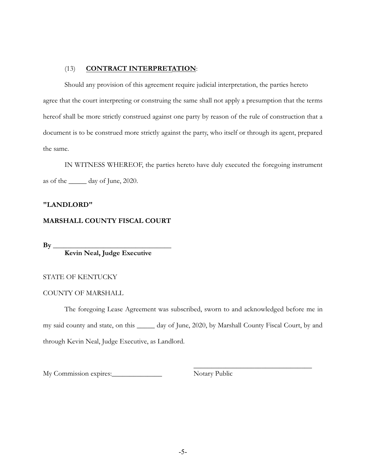# (13) **CONTRACT INTERPRETATION**:

Should any provision of this agreement require judicial interpretation, the parties hereto agree that the court interpreting or construing the same shall not apply a presumption that the terms hereof shall be more strictly construed against one party by reason of the rule of construction that a document is to be construed more strictly against the party, who itself or through its agent, prepared the same.

IN WITNESS WHEREOF, the parties hereto have duly executed the foregoing instrument as of the \_\_\_\_\_ day of June, 2020.

# **"LANDLORD"**

# **MARSHALL COUNTY FISCAL COURT**

**By \_\_\_\_\_\_\_\_\_\_\_\_\_\_\_\_\_\_\_\_\_\_\_\_\_\_\_\_\_\_\_\_\_**

**Kevin Neal, Judge Executive**

# STATE OF KENTUCKY

## COUNTY OF MARSHALL

The foregoing Lease Agreement was subscribed, sworn to and acknowledged before me in my said county and state, on this \_\_\_\_\_ day of June, 2020, by Marshall County Fiscal Court, by and through Kevin Neal, Judge Executive, as Landlord.

My Commission expires:\_\_\_\_\_\_\_\_\_\_\_\_\_\_ Notary Public

\_\_\_\_\_\_\_\_\_\_\_\_\_\_\_\_\_\_\_\_\_\_\_\_\_\_\_\_\_\_\_\_\_